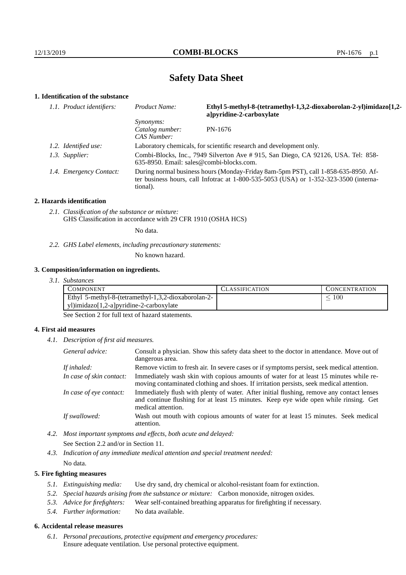# **Safety Data Sheet**

# **1. Identification of the substance**

| 1.1. Product identifiers: | Ethyl 5-methyl-8-(tetramethyl-1,3,2-dioxaborolan-2-yl)imidazo[1,2-<br>Product Name:<br>a pyridine-2-carboxylate                                                                             |         |
|---------------------------|---------------------------------------------------------------------------------------------------------------------------------------------------------------------------------------------|---------|
|                           | Synonyms:<br>Catalog number:<br>CAS Number:                                                                                                                                                 | PN-1676 |
| 1.2. Identified use:      | Laboratory chemicals, for scientific research and development only.                                                                                                                         |         |
| 1.3. Supplier:            | Combi-Blocks, Inc., 7949 Silverton Ave # 915, San Diego, CA 92126, USA. Tel: 858-<br>$635-8950$ . Email: sales@combi-blocks.com.                                                            |         |
| 1.4. Emergency Contact:   | During normal business hours (Monday-Friday 8am-5pm PST), call 1-858-635-8950. Af-<br>ter business hours, call Informac at $1-800-535-5053$ (USA) or $1-352-323-3500$ (interna-<br>tional). |         |

#### **2. Hazards identification**

*2.1. Classification of the substance or mixture:* GHS Classification in accordance with 29 CFR 1910 (OSHA HCS)

No data.

*2.2. GHS Label elements, including precautionary statements:*

No known hazard.

## **3. Composition/information on ingredients.**

*3.1. Substances*

| Ethyl 5-methyl-8-(tetramethyl-1,3,2-dioxaborolan-2-<br>100 | <b>COMPONENT</b>                        | <b>CLASSIFICATION</b> | <b>CONCENTRATION</b> |
|------------------------------------------------------------|-----------------------------------------|-----------------------|----------------------|
|                                                            |                                         |                       |                      |
|                                                            | yl)imidazo[1,2-a]pyridine-2-carboxylate |                       |                      |

See Section 2 for full text of hazard statements.

## **4. First aid measures**

*4.1. Description of first aid measures.*

| General advice:          | Consult a physician. Show this safety data sheet to the doctor in attendance. Move out of<br>dangerous area.                                                                                            |
|--------------------------|---------------------------------------------------------------------------------------------------------------------------------------------------------------------------------------------------------|
| If inhaled:              | Remove victim to fresh air. In severe cases or if symptoms persist, seek medical attention.                                                                                                             |
| In case of skin contact: | Immediately wash skin with copious amounts of water for at least 15 minutes while re-<br>moving contaminated clothing and shoes. If irritation persists, seek medical attention.                        |
| In case of eye contact:  | Immediately flush with plenty of water. After initial flushing, remove any contact lenses<br>and continue flushing for at least 15 minutes. Keep eye wide open while rinsing. Get<br>medical attention. |
| If swallowed:            | Wash out mouth with copious amounts of water for at least 15 minutes. Seek medical<br>attention.                                                                                                        |

*4.2. Most important symptoms and effects, both acute and delayed:* See Section 2.2 and/or in Section 11.

*4.3. Indication of any immediate medical attention and special treatment needed:* No data.

## **5. Fire fighting measures**

- *5.1. Extinguishing media:* Use dry sand, dry chemical or alcohol-resistant foam for extinction.
- *5.2. Special hazards arising from the substance or mixture:* Carbon monoxide, nitrogen oxides.
- *5.3. Advice for firefighters:* Wear self-contained breathing apparatus for firefighting if necessary.
- *5.4. Further information:* No data available.

## **6. Accidental release measures**

*6.1. Personal precautions, protective equipment and emergency procedures:* Ensure adequate ventilation. Use personal protective equipment.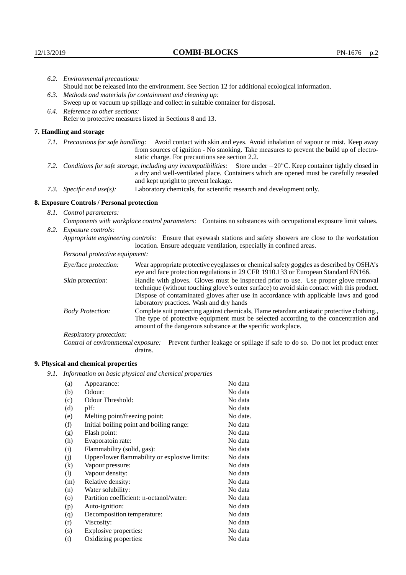|                                                                                                               | 6.2. Environmental precautions:                                                                                                                                                                                                                                     |                                                                                                                                                                                                                                                                                   |  |  |  |
|---------------------------------------------------------------------------------------------------------------|---------------------------------------------------------------------------------------------------------------------------------------------------------------------------------------------------------------------------------------------------------------------|-----------------------------------------------------------------------------------------------------------------------------------------------------------------------------------------------------------------------------------------------------------------------------------|--|--|--|
|                                                                                                               | Should not be released into the environment. See Section 12 for additional ecological information.                                                                                                                                                                  |                                                                                                                                                                                                                                                                                   |  |  |  |
|                                                                                                               | 6.3. Methods and materials for containment and cleaning up:                                                                                                                                                                                                         |                                                                                                                                                                                                                                                                                   |  |  |  |
|                                                                                                               | Sweep up or vacuum up spillage and collect in suitable container for disposal.                                                                                                                                                                                      |                                                                                                                                                                                                                                                                                   |  |  |  |
|                                                                                                               | 6.4. Reference to other sections:                                                                                                                                                                                                                                   |                                                                                                                                                                                                                                                                                   |  |  |  |
|                                                                                                               |                                                                                                                                                                                                                                                                     | Refer to protective measures listed in Sections 8 and 13.                                                                                                                                                                                                                         |  |  |  |
|                                                                                                               | 7. Handling and storage                                                                                                                                                                                                                                             |                                                                                                                                                                                                                                                                                   |  |  |  |
|                                                                                                               |                                                                                                                                                                                                                                                                     | 7.1. Precautions for safe handling: Avoid contact with skin and eyes. Avoid inhalation of vapour or mist. Keep away<br>from sources of ignition - No smoking. Take measures to prevent the build up of electro-<br>static charge. For precautions see section 2.2.                |  |  |  |
|                                                                                                               | 7.2. Conditions for safe storage, including any incompatibilities: Store under $-20^{\circ}$ C. Keep container tightly closed in<br>a dry and well-ventilated place. Containers which are opened must be carefully resealed<br>and kept upright to prevent leakage. |                                                                                                                                                                                                                                                                                   |  |  |  |
|                                                                                                               | 7.3. Specific end use(s):                                                                                                                                                                                                                                           | Laboratory chemicals, for scientific research and development only.                                                                                                                                                                                                               |  |  |  |
|                                                                                                               | 8. Exposure Controls / Personal protection                                                                                                                                                                                                                          |                                                                                                                                                                                                                                                                                   |  |  |  |
|                                                                                                               | 8.1. Control parameters:                                                                                                                                                                                                                                            |                                                                                                                                                                                                                                                                                   |  |  |  |
| Components with workplace control parameters: Contains no substances with occupational exposure limit values. |                                                                                                                                                                                                                                                                     |                                                                                                                                                                                                                                                                                   |  |  |  |
| 8.2.                                                                                                          | Exposure controls:                                                                                                                                                                                                                                                  |                                                                                                                                                                                                                                                                                   |  |  |  |
|                                                                                                               |                                                                                                                                                                                                                                                                     | Appropriate engineering controls: Ensure that eyewash stations and safety showers are close to the workstation<br>location. Ensure adequate ventilation, especially in confined areas.                                                                                            |  |  |  |
|                                                                                                               | Personal protective equipment:                                                                                                                                                                                                                                      |                                                                                                                                                                                                                                                                                   |  |  |  |
|                                                                                                               | Eye/face protection:                                                                                                                                                                                                                                                | Wear appropriate protective eyeglasses or chemical safety goggles as described by OSHA's<br>eye and face protection regulations in 29 CFR 1910.133 or European Standard EN166.                                                                                                    |  |  |  |
|                                                                                                               | Skin protection:                                                                                                                                                                                                                                                    | Handle with gloves. Gloves must be inspected prior to use. Use proper glove removal<br>technique (without touching glove's outer surface) to avoid skin contact with this product.<br>Diagona of contaminated classes often and in accordance anithe configulate found and social |  |  |  |

# **8. Exposure Controls / Personal protection**

| Eye/face protection:               | Wear appropriate protective eyeglasses or chemical safety goggles as described by OSHA's<br>eye and face protection regulations in 29 CFR 1910.133 or European Standard EN166.                                                                                                                                         |
|------------------------------------|------------------------------------------------------------------------------------------------------------------------------------------------------------------------------------------------------------------------------------------------------------------------------------------------------------------------|
| Skin protection:                   | Handle with gloves. Gloves must be inspected prior to use. Use proper glove removal<br>technique (without touching glove's outer surface) to avoid skin contact with this product.<br>Dispose of contaminated gloves after use in accordance with applicable laws and good<br>laboratory practices. Wash and dry hands |
| <b>Body Protection:</b>            | Complete suit protecting against chemicals, Flame retardant antistatic protective clothing.,<br>The type of protective equipment must be selected according to the concentration and<br>amount of the dangerous substance at the specific workplace.                                                                   |
| <b>Respiratory protection:</b>     |                                                                                                                                                                                                                                                                                                                        |
| Control of environmental exposure: | Prevent further leakage or spillage if safe to do so. Do not let product enter<br>drains.                                                                                                                                                                                                                              |

# **9. Physical and chemical properties**

*9.1. Information on basic physical and chemical properties*

| (a)                        | Appearance:                                   | No data  |
|----------------------------|-----------------------------------------------|----------|
| (b)                        | Odour:                                        | No data  |
| (c)                        | Odour Threshold:                              | No data  |
| (d)                        | $pH$ :                                        | No data  |
| (e)                        | Melting point/freezing point:                 | No date. |
| (f)                        | Initial boiling point and boiling range:      | No data  |
| (g)                        | Flash point:                                  | No data  |
| (h)                        | Evaporatoin rate:                             | No data  |
| (i)                        | Flammability (solid, gas):                    | No data  |
| (j)                        | Upper/lower flammability or explosive limits: | No data  |
| (k)                        | Vapour pressure:                              | No data  |
| $\left( \mathrm{l}\right)$ | Vapour density:                               | No data  |
| (m)                        | Relative density:                             | No data  |
| (n)                        | Water solubility:                             | No data  |
| $\rm (o)$                  | Partition coefficient: n-octanol/water:       | No data  |
| (p)                        | Auto-ignition:                                | No data  |
| (q)                        | Decomposition temperature:                    | No data  |
| (r)                        | Viscosity:                                    | No data  |
| (s)                        | Explosive properties:                         | No data  |
| (t)                        | Oxidizing properties:                         | No data  |